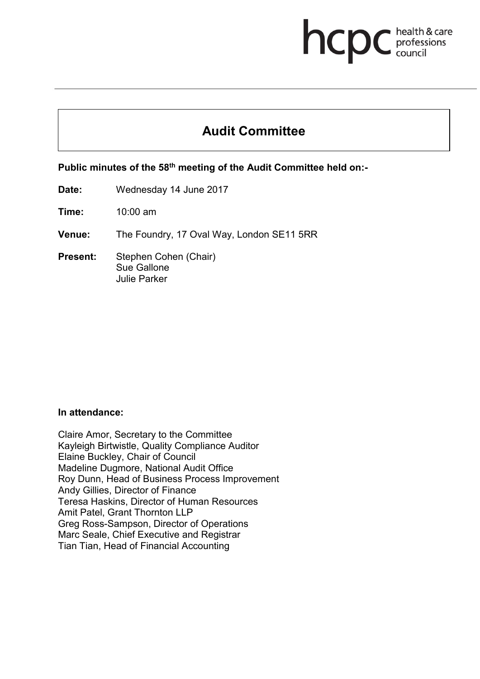## health & care hcpc professions<br>council

# **Audit Committee**

**Public minutes of the 58th meeting of the Audit Committee held on:-**

**Date:** Wednesday 14 June 2017

**Time:** 10:00 am

**Venue:** The Foundry, 17 Oval Way, London SE11 5RR

**Present:** Stephen Cohen (Chair) Sue Gallone Julie Parker

#### **In attendance:**

Claire Amor, Secretary to the Committee Kayleigh Birtwistle, Quality Compliance Auditor Elaine Buckley, Chair of Council Madeline Dugmore, National Audit Office Roy Dunn, Head of Business Process Improvement Andy Gillies, Director of Finance Teresa Haskins, Director of Human Resources Amit Patel, Grant Thornton LLP Greg Ross-Sampson, Director of Operations Marc Seale, Chief Executive and Registrar Tian Tian, Head of Financial Accounting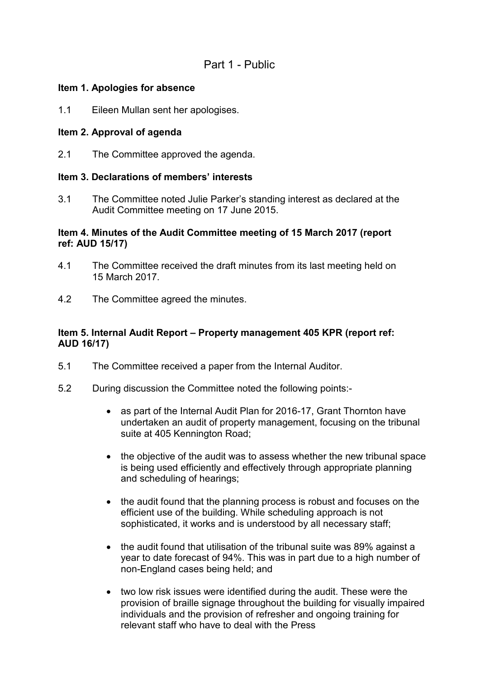## Part 1 - Public

## **Item 1. Apologies for absence**

1.1 Eileen Mullan sent her apologises.

## **Item 2. Approval of agenda**

2.1 The Committee approved the agenda.

## **Item 3. Declarations of members' interests**

3.1 The Committee noted Julie Parker's standing interest as declared at the Audit Committee meeting on 17 June 2015.

## **Item 4. Minutes of the Audit Committee meeting of 15 March 2017 (report ref: AUD 15/17)**

- 4.1 The Committee received the draft minutes from its last meeting held on 15 March 2017.
- 4.2 The Committee agreed the minutes.

## **Item 5. Internal Audit Report – Property management 405 KPR (report ref: AUD 16/17)**

- 5.1 The Committee received a paper from the Internal Auditor.
- 5.2 During discussion the Committee noted the following points:-
	- as part of the Internal Audit Plan for 2016-17, Grant Thornton have undertaken an audit of property management, focusing on the tribunal suite at 405 Kennington Road;
	- the objective of the audit was to assess whether the new tribunal space is being used efficiently and effectively through appropriate planning and scheduling of hearings;
	- the audit found that the planning process is robust and focuses on the efficient use of the building. While scheduling approach is not sophisticated, it works and is understood by all necessary staff;
	- the audit found that utilisation of the tribunal suite was 89% against a year to date forecast of 94%. This was in part due to a high number of non-England cases being held; and
	- two low risk issues were identified during the audit. These were the provision of braille signage throughout the building for visually impaired individuals and the provision of refresher and ongoing training for relevant staff who have to deal with the Press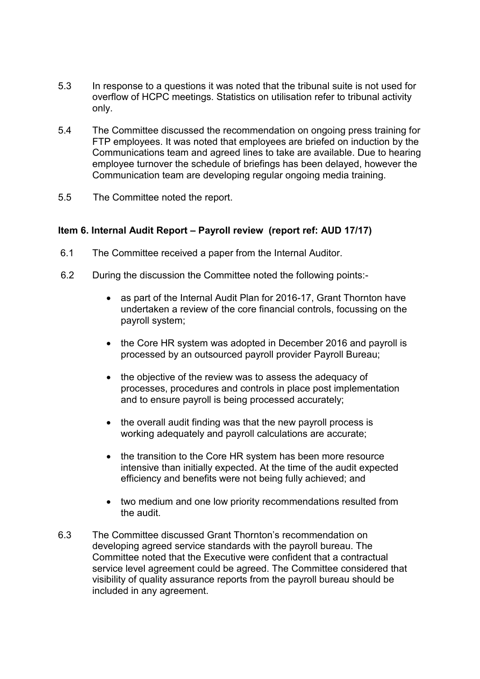- 5.3 In response to a questions it was noted that the tribunal suite is not used for overflow of HCPC meetings. Statistics on utilisation refer to tribunal activity only.
- 5.4 The Committee discussed the recommendation on ongoing press training for FTP employees. It was noted that employees are briefed on induction by the Communications team and agreed lines to take are available. Due to hearing employee turnover the schedule of briefings has been delayed, however the Communication team are developing regular ongoing media training.
- 5.5 The Committee noted the report.

## **Item 6. Internal Audit Report – Payroll review (report ref: AUD 17/17)**

- 6.1 The Committee received a paper from the Internal Auditor.
- 6.2 During the discussion the Committee noted the following points:-
	- as part of the Internal Audit Plan for 2016-17, Grant Thornton have undertaken a review of the core financial controls, focussing on the payroll system;
	- the Core HR system was adopted in December 2016 and payroll is processed by an outsourced payroll provider Payroll Bureau;
	- the objective of the review was to assess the adequacy of processes, procedures and controls in place post implementation and to ensure payroll is being processed accurately;
	- the overall audit finding was that the new payroll process is working adequately and payroll calculations are accurate;
	- the transition to the Core HR system has been more resource intensive than initially expected. At the time of the audit expected efficiency and benefits were not being fully achieved; and
	- two medium and one low priority recommendations resulted from the audit.
- 6.3 The Committee discussed Grant Thornton's recommendation on developing agreed service standards with the payroll bureau. The Committee noted that the Executive were confident that a contractual service level agreement could be agreed. The Committee considered that visibility of quality assurance reports from the payroll bureau should be included in any agreement.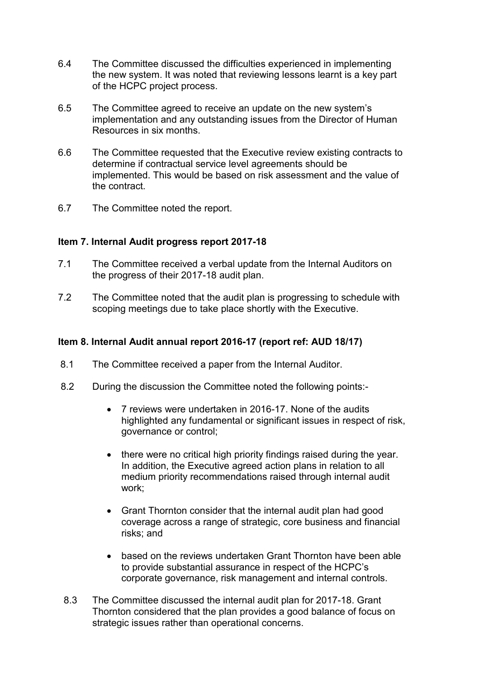- 6.4 The Committee discussed the difficulties experienced in implementing the new system. It was noted that reviewing lessons learnt is a key part of the HCPC project process.
- 6.5 The Committee agreed to receive an update on the new system's implementation and any outstanding issues from the Director of Human Resources in six months.
- 6.6 The Committee requested that the Executive review existing contracts to determine if contractual service level agreements should be implemented. This would be based on risk assessment and the value of the contract.
- 6.7 The Committee noted the report.

#### **Item 7. Internal Audit progress report 2017-18**

- 7.1 The Committee received a verbal update from the Internal Auditors on the progress of their 2017-18 audit plan.
- 7.2 The Committee noted that the audit plan is progressing to schedule with scoping meetings due to take place shortly with the Executive.

#### **Item 8. Internal Audit annual report 2016-17 (report ref: AUD 18/17)**

- 8.1 The Committee received a paper from the Internal Auditor.
- 8.2 During the discussion the Committee noted the following points:-
	- 7 reviews were undertaken in 2016-17. None of the audits highlighted any fundamental or significant issues in respect of risk, governance or control;
	- there were no critical high priority findings raised during the year. In addition, the Executive agreed action plans in relation to all medium priority recommendations raised through internal audit work;
	- Grant Thornton consider that the internal audit plan had good coverage across a range of strategic, core business and financial risks; and
	- based on the reviews undertaken Grant Thornton have been able to provide substantial assurance in respect of the HCPC's corporate governance, risk management and internal controls.
- 8.3 The Committee discussed the internal audit plan for 2017-18. Grant Thornton considered that the plan provides a good balance of focus on strategic issues rather than operational concerns.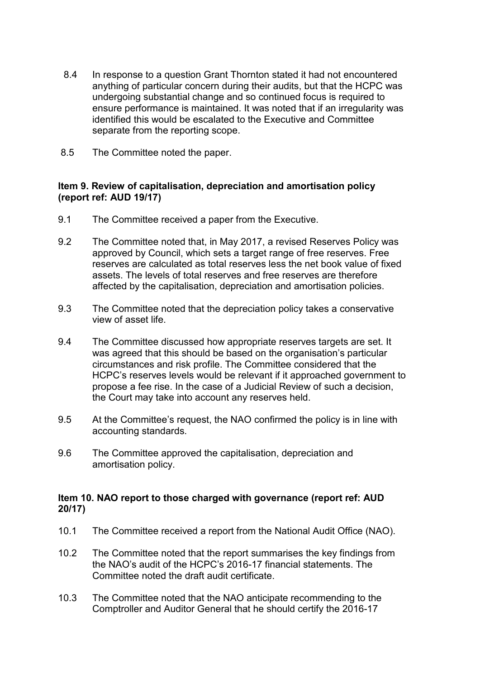- 8.4 In response to a question Grant Thornton stated it had not encountered anything of particular concern during their audits, but that the HCPC was undergoing substantial change and so continued focus is required to ensure performance is maintained. It was noted that if an irregularity was identified this would be escalated to the Executive and Committee separate from the reporting scope.
- 8.5 The Committee noted the paper.

## **Item 9. Review of capitalisation, depreciation and amortisation policy (report ref: AUD 19/17)**

- 9.1 The Committee received a paper from the Executive.
- 9.2 The Committee noted that, in May 2017, a revised Reserves Policy was approved by Council, which sets a target range of free reserves. Free reserves are calculated as total reserves less the net book value of fixed assets. The levels of total reserves and free reserves are therefore affected by the capitalisation, depreciation and amortisation policies.
- 9.3 The Committee noted that the depreciation policy takes a conservative view of asset life.
- 9.4 The Committee discussed how appropriate reserves targets are set. It was agreed that this should be based on the organisation's particular circumstances and risk profile. The Committee considered that the HCPC's reserves levels would be relevant if it approached government to propose a fee rise. In the case of a Judicial Review of such a decision, the Court may take into account any reserves held.
- 9.5 At the Committee's request, the NAO confirmed the policy is in line with accounting standards.
- 9.6 The Committee approved the capitalisation, depreciation and amortisation policy.

#### **Item 10. NAO report to those charged with governance (report ref: AUD 20/17)**

- 10.1 The Committee received a report from the National Audit Office (NAO).
- 10.2 The Committee noted that the report summarises the key findings from the NAO's audit of the HCPC's 2016-17 financial statements. The Committee noted the draft audit certificate.
- 10.3 The Committee noted that the NAO anticipate recommending to the Comptroller and Auditor General that he should certify the 2016-17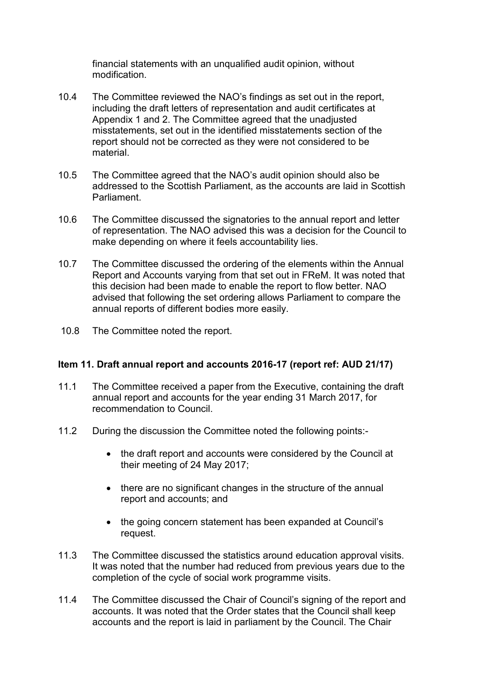financial statements with an unqualified audit opinion, without modification.

- 10.4 The Committee reviewed the NAO's findings as set out in the report, including the draft letters of representation and audit certificates at Appendix 1 and 2. The Committee agreed that the unadjusted misstatements, set out in the identified misstatements section of the report should not be corrected as they were not considered to be material.
- 10.5 The Committee agreed that the NAO's audit opinion should also be addressed to the Scottish Parliament, as the accounts are laid in Scottish **Parliament**
- 10.6 The Committee discussed the signatories to the annual report and letter of representation. The NAO advised this was a decision for the Council to make depending on where it feels accountability lies.
- 10.7 The Committee discussed the ordering of the elements within the Annual Report and Accounts varying from that set out in FReM. It was noted that this decision had been made to enable the report to flow better. NAO advised that following the set ordering allows Parliament to compare the annual reports of different bodies more easily.
- 10.8 The Committee noted the report.

#### **Item 11. Draft annual report and accounts 2016-17 (report ref: AUD 21/17)**

- 11.1 The Committee received a paper from the Executive, containing the draft annual report and accounts for the year ending 31 March 2017, for recommendation to Council.
- 11.2 During the discussion the Committee noted the following points:-
	- the draft report and accounts were considered by the Council at their meeting of 24 May 2017;
	- there are no significant changes in the structure of the annual report and accounts; and
	- the going concern statement has been expanded at Council's request.
- 11.3 The Committee discussed the statistics around education approval visits. It was noted that the number had reduced from previous years due to the completion of the cycle of social work programme visits.
- 11.4 The Committee discussed the Chair of Council's signing of the report and accounts. It was noted that the Order states that the Council shall keep accounts and the report is laid in parliament by the Council. The Chair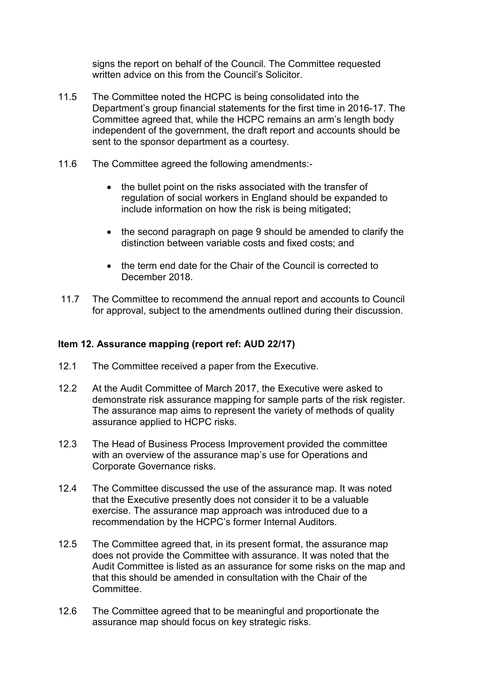signs the report on behalf of the Council. The Committee requested written advice on this from the Council's Solicitor.

- 11.5 The Committee noted the HCPC is being consolidated into the Department's group financial statements for the first time in 2016-17. The Committee agreed that, while the HCPC remains an arm's length body independent of the government, the draft report and accounts should be sent to the sponsor department as a courtesy.
- 11.6 The Committee agreed the following amendments:-
	- the bullet point on the risks associated with the transfer of regulation of social workers in England should be expanded to include information on how the risk is being mitigated;
	- the second paragraph on page 9 should be amended to clarify the distinction between variable costs and fixed costs; and
	- the term end date for the Chair of the Council is corrected to December 2018.
- 11.7 The Committee to recommend the annual report and accounts to Council for approval, subject to the amendments outlined during their discussion.

## **Item 12. Assurance mapping (report ref: AUD 22/17)**

- 12.1 The Committee received a paper from the Executive.
- 12.2 At the Audit Committee of March 2017, the Executive were asked to demonstrate risk assurance mapping for sample parts of the risk register. The assurance map aims to represent the variety of methods of quality assurance applied to HCPC risks.
- 12.3 The Head of Business Process Improvement provided the committee with an overview of the assurance map's use for Operations and Corporate Governance risks.
- 12.4 The Committee discussed the use of the assurance map. It was noted that the Executive presently does not consider it to be a valuable exercise. The assurance map approach was introduced due to a recommendation by the HCPC's former Internal Auditors.
- 12.5 The Committee agreed that, in its present format, the assurance map does not provide the Committee with assurance. It was noted that the Audit Committee is listed as an assurance for some risks on the map and that this should be amended in consultation with the Chair of the **Committee.**
- 12.6 The Committee agreed that to be meaningful and proportionate the assurance map should focus on key strategic risks.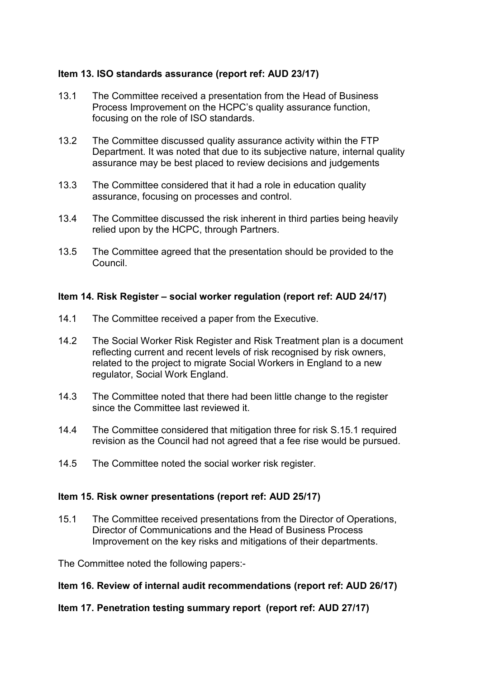## **Item 13. ISO standards assurance (report ref: AUD 23/17)**

- 13.1 The Committee received a presentation from the Head of Business Process Improvement on the HCPC's quality assurance function, focusing on the role of ISO standards.
- 13.2 The Committee discussed quality assurance activity within the FTP Department. It was noted that due to its subjective nature, internal quality assurance may be best placed to review decisions and judgements
- 13.3 The Committee considered that it had a role in education quality assurance, focusing on processes and control.
- 13.4 The Committee discussed the risk inherent in third parties being heavily relied upon by the HCPC, through Partners.
- 13.5 The Committee agreed that the presentation should be provided to the Council.

#### **Item 14. Risk Register – social worker regulation (report ref: AUD 24/17)**

- 14.1 The Committee received a paper from the Executive.
- 14.2 The Social Worker Risk Register and Risk Treatment plan is a document reflecting current and recent levels of risk recognised by risk owners, related to the project to migrate Social Workers in England to a new regulator, Social Work England.
- 14.3 The Committee noted that there had been little change to the register since the Committee last reviewed it.
- 14.4 The Committee considered that mitigation three for risk S.15.1 required revision as the Council had not agreed that a fee rise would be pursued.
- 14.5 The Committee noted the social worker risk register.

#### **Item 15. Risk owner presentations (report ref: AUD 25/17)**

15.1 The Committee received presentations from the Director of Operations, Director of Communications and the Head of Business Process Improvement on the key risks and mitigations of their departments.

The Committee noted the following papers:-

#### **Item 16. Review of internal audit recommendations (report ref: AUD 26/17)**

#### **Item 17. Penetration testing summary report (report ref: AUD 27/17)**